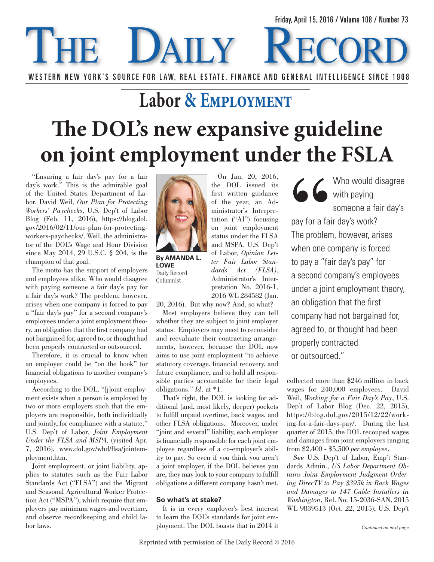## DAILY Friday, April 15, 2016 / Volume 108 / Number 73 WESTERN NEW YORK'S SOURCE FOR LAW, REAL ESTATE, FINANCE AND GENERAL INTELLIGENCE SINCE 1908

# **Labor & Employment The DOL's new expansive guideline on joint employment under the FSLA**

"Ensuring a fair day's pay for a fair day's work." This is the admirable goal of the United States Department of Labor. David Weil, *Our Plan for Protecting Workers' Paychecks*, U.S. Dep't of Labor Blog (Feb. 11, 2016), https://blog.dol. gov/2016/02/11/our-plan-for-protectingworkers-paychecks/. Weil, the administrator of the DOL's Wage and Hour Division since May 2014, 29 U.S.C. § 204, is the champion of that goal.

The motto has the support of employers and employees alike. Who would disagree with paying someone a fair day's pay for a fair day's work? The problem, however, arises when one company is forced to pay a "fair day's pay" for a second company's employees under a joint employment theory, an obligation that the first company had not bargained for, agreed to, or thought had been properly contracted or outsourced.

Therefore, it is crucial to know when an employer could be "on the hook" for financial obligations to another company's employees.

According to the DOL, "[j]oint employment exists when a person is employed by two or more employers such that the employers are responsible, both individually and jointly, for compliance with a statute." U.S. Dep't of Labor, *Joint Employment Under the FLSA and MSPA,* (visited Apr. 7, 2016), www.dol.gov/whd/flsa/jointemployment.htm.

Joint employment, or joint liability, applies to statutes such as the Fair Labor Standards Act ("FLSA") and the Migrant and Seasonal Agricultural Worker Protection Act ("MSPA"), which require that employers pay minimum wages and overtime, and observe recordkeeping and child labor laws.



**By Amanda L. Lowe** Daily Record Columnist

On Jan. 20, 2016, the DOL issued its first written guidance of the year, an Administrator's Interpretation ("AI") focusing on joint employment status under the FLSA and MSPA. U.S. Dep't of Labor, *Opinion Letter Fair Labor Standards Act (FLSA)*, Administrator's Interpretation No. 2016-1, 2016 WL 284582 (Jan.

20, 2016). But why now? And, so what?

Most employers believe they can tell whether they are subject to joint employer status. Employers may need to reconsider and reevaluate their contracting arrangements, however, because the DOL now aims to use joint employment "to achieve statutory coverage, financial recovery, and future compliance, and to hold all responsible parties accountable for their legal obligations." *Id.* at \*1.

That's right, the DOL is looking for additional (and, most likely, deeper) pockets to fulfill unpaid overtime, back wages, and other FLSA obligations. Moreover, under "joint and several" liability, each employer is financially responsible for each joint employee regardless of a co-employer's ability to pay. So even if you think you aren't a joint employer, if the DOL believes you are, they may look to your company to fulfill obligations a different company hasn't met.

## **So what's at stake?**

It is in every employer's best interest to learn the DOL's standards for joint employment. The DOL boasts that in 2014 it

Who would disagree G G with paying someone a fair day's pay for a fair day's work? The problem, however, arises when one company is forced to pay a "fair day's pay" for a second company's employees under a joint employment theory, an obligation that the first company had not bargained for, agreed to, or thought had been properly contracted or outsourced."

collected more than \$246 million in back wages for 240,000 employees. David Weil, *Working for a Fair Day's Pay*, U.S. Dep't of Labor Blog (Dec. 22, 2015), https://blog.dol.gov/2015/12/22/working-for-a-fair-days-pay/. During the last quarter of 2015, the DOL recouped wages and damages from joint employers ranging from \$2,400 - \$5,500 *per employee.*

*See* U.S. Dep't of Labor, Emp't Standards Admin., *US Labor Department Obtains Joint Employment Judgment Ordering DirecTV to Pay \$395k in Back Wages and Damages to 147 Cable Installers in Washington*, Rel. No. 15-2036-SAN, 2015 WL 9839513 (Oct. 22, 2015); U.S. Dep't